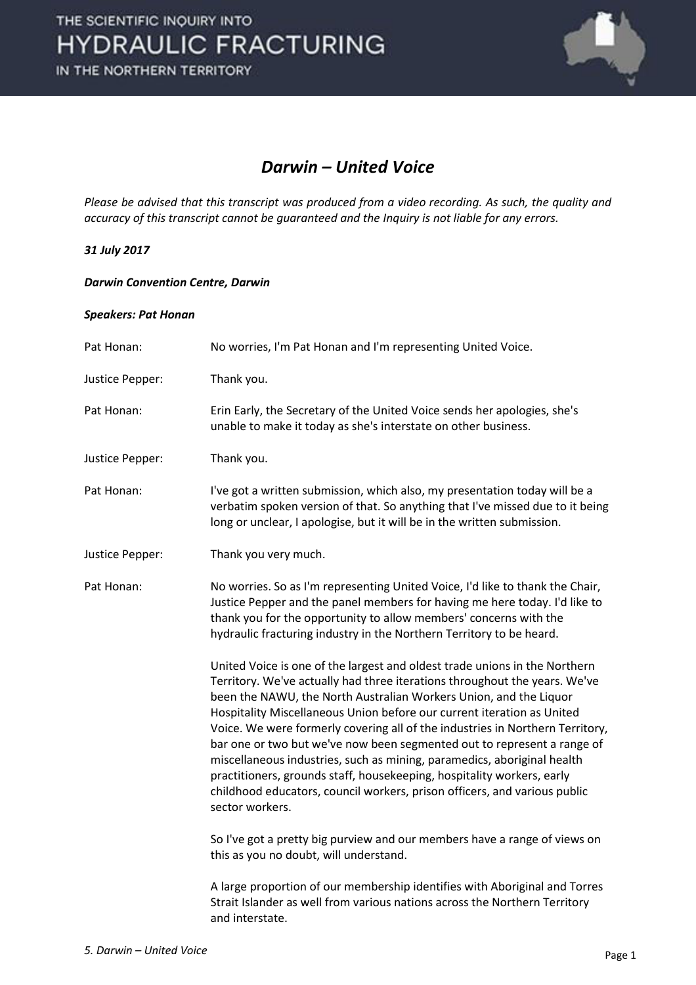

### *Darwin – United Voice*

*Please be advised that this transcript was produced from a video recording. As such, the quality and accuracy of this transcript cannot be guaranteed and the Inquiry is not liable for any errors.*

### *31 July 2017*

### *Darwin Convention Centre, Darwin*

#### *Speakers: Pat Honan*

| Pat Honan:      | No worries, I'm Pat Honan and I'm representing United Voice.                                                                                                                                                                                                                                                                                                                                                                                                                                                                                                                                                                                                                                                             |
|-----------------|--------------------------------------------------------------------------------------------------------------------------------------------------------------------------------------------------------------------------------------------------------------------------------------------------------------------------------------------------------------------------------------------------------------------------------------------------------------------------------------------------------------------------------------------------------------------------------------------------------------------------------------------------------------------------------------------------------------------------|
| Justice Pepper: | Thank you.                                                                                                                                                                                                                                                                                                                                                                                                                                                                                                                                                                                                                                                                                                               |
| Pat Honan:      | Erin Early, the Secretary of the United Voice sends her apologies, she's<br>unable to make it today as she's interstate on other business.                                                                                                                                                                                                                                                                                                                                                                                                                                                                                                                                                                               |
| Justice Pepper: | Thank you.                                                                                                                                                                                                                                                                                                                                                                                                                                                                                                                                                                                                                                                                                                               |
| Pat Honan:      | I've got a written submission, which also, my presentation today will be a<br>verbatim spoken version of that. So anything that I've missed due to it being<br>long or unclear, I apologise, but it will be in the written submission.                                                                                                                                                                                                                                                                                                                                                                                                                                                                                   |
| Justice Pepper: | Thank you very much.                                                                                                                                                                                                                                                                                                                                                                                                                                                                                                                                                                                                                                                                                                     |
| Pat Honan:      | No worries. So as I'm representing United Voice, I'd like to thank the Chair,<br>Justice Pepper and the panel members for having me here today. I'd like to<br>thank you for the opportunity to allow members' concerns with the<br>hydraulic fracturing industry in the Northern Territory to be heard.                                                                                                                                                                                                                                                                                                                                                                                                                 |
|                 | United Voice is one of the largest and oldest trade unions in the Northern<br>Territory. We've actually had three iterations throughout the years. We've<br>been the NAWU, the North Australian Workers Union, and the Liquor<br>Hospitality Miscellaneous Union before our current iteration as United<br>Voice. We were formerly covering all of the industries in Northern Territory,<br>bar one or two but we've now been segmented out to represent a range of<br>miscellaneous industries, such as mining, paramedics, aboriginal health<br>practitioners, grounds staff, housekeeping, hospitality workers, early<br>childhood educators, council workers, prison officers, and various public<br>sector workers. |
|                 | So I've got a pretty big purview and our members have a range of views on<br>this as you no doubt, will understand.                                                                                                                                                                                                                                                                                                                                                                                                                                                                                                                                                                                                      |
|                 | A large proportion of our membership identifies with Aboriginal and Torres<br>Strait Islander as well from various nations across the Northern Territory<br>and interstate.                                                                                                                                                                                                                                                                                                                                                                                                                                                                                                                                              |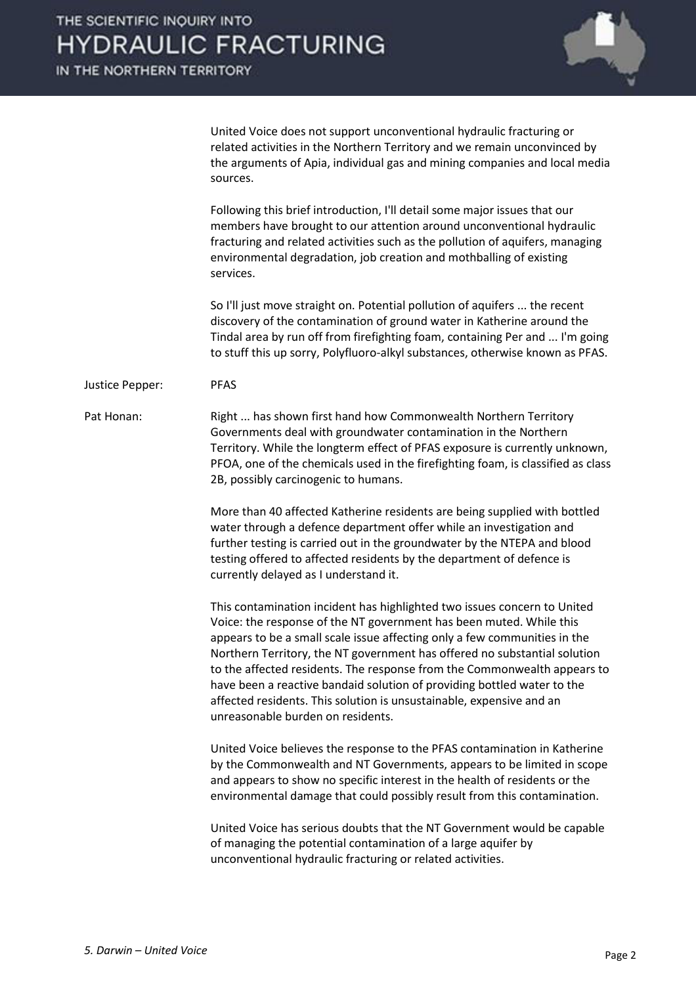IN THE NORTHERN TERRITORY



 United Voice does not support unconventional hydraulic fracturing or related activities in the Northern Territory and we remain unconvinced by the arguments of Apia, individual gas and mining companies and local media sources.

 Following this brief introduction, I'll detail some major issues that our members have brought to our attention around unconventional hydraulic fracturing and related activities such as the pollution of aquifers, managing environmental degradation, job creation and mothballing of existing services.

 So I'll just move straight on. Potential pollution of aquifers ... the recent discovery of the contamination of ground water in Katherine around the Tindal area by run off from firefighting foam, containing Per and ... I'm going to stuff this up sorry, Polyfluoro-alkyl substances, otherwise known as PFAS.

#### Justice Pepper: PFAS

Pat Honan: Right ... has shown first hand how Commonwealth Northern Territory Governments deal with groundwater contamination in the Northern Territory. While the longterm effect of PFAS exposure is currently unknown, PFOA, one of the chemicals used in the firefighting foam, is classified as class 2B, possibly carcinogenic to humans.

> More than 40 affected Katherine residents are being supplied with bottled water through a defence department offer while an investigation and further testing is carried out in the groundwater by the NTEPA and blood testing offered to affected residents by the department of defence is currently delayed as I understand it.

 This contamination incident has highlighted two issues concern to United Voice: the response of the NT government has been muted. While this appears to be a small scale issue affecting only a few communities in the Northern Territory, the NT government has offered no substantial solution to the affected residents. The response from the Commonwealth appears to have been a reactive bandaid solution of providing bottled water to the affected residents. This solution is unsustainable, expensive and an unreasonable burden on residents.

 United Voice believes the response to the PFAS contamination in Katherine by the Commonwealth and NT Governments, appears to be limited in scope and appears to show no specific interest in the health of residents or the environmental damage that could possibly result from this contamination.

 United Voice has serious doubts that the NT Government would be capable of managing the potential contamination of a large aquifer by unconventional hydraulic fracturing or related activities.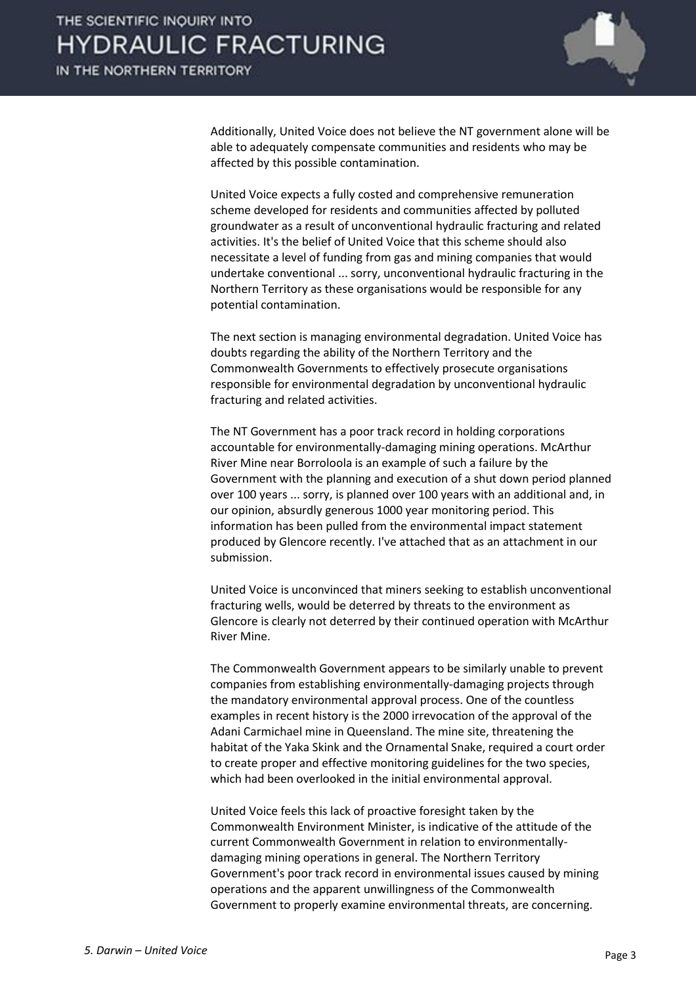

 Additionally, United Voice does not believe the NT government alone will be able to adequately compensate communities and residents who may be affected by this possible contamination.

 United Voice expects a fully costed and comprehensive remuneration scheme developed for residents and communities affected by polluted groundwater as a result of unconventional hydraulic fracturing and related activities. It's the belief of United Voice that this scheme should also necessitate a level of funding from gas and mining companies that would undertake conventional ... sorry, unconventional hydraulic fracturing in the Northern Territory as these organisations would be responsible for any potential contamination.

 The next section is managing environmental degradation. United Voice has doubts regarding the ability of the Northern Territory and the Commonwealth Governments to effectively prosecute organisations responsible for environmental degradation by unconventional hydraulic fracturing and related activities.

 The NT Government has a poor track record in holding corporations accountable for environmentally-damaging mining operations. McArthur River Mine near Borroloola is an example of such a failure by the Government with the planning and execution of a shut down period planned over 100 years ... sorry, is planned over 100 years with an additional and, in our opinion, absurdly generous 1000 year monitoring period. This information has been pulled from the environmental impact statement produced by Glencore recently. I've attached that as an attachment in our submission.

 United Voice is unconvinced that miners seeking to establish unconventional fracturing wells, would be deterred by threats to the environment as Glencore is clearly not deterred by their continued operation with McArthur River Mine.

 The Commonwealth Government appears to be similarly unable to prevent companies from establishing environmentally-damaging projects through the mandatory environmental approval process. One of the countless examples in recent history is the 2000 irrevocation of the approval of the Adani Carmichael mine in Queensland. The mine site, threatening the habitat of the Yaka Skink and the Ornamental Snake, required a court order to create proper and effective monitoring guidelines for the two species, which had been overlooked in the initial environmental approval.

 United Voice feels this lack of proactive foresight taken by the Commonwealth Environment Minister, is indicative of the attitude of the current Commonwealth Government in relation to environmentallydamaging mining operations in general. The Northern Territory Government's poor track record in environmental issues caused by mining operations and the apparent unwillingness of the Commonwealth Government to properly examine environmental threats, are concerning.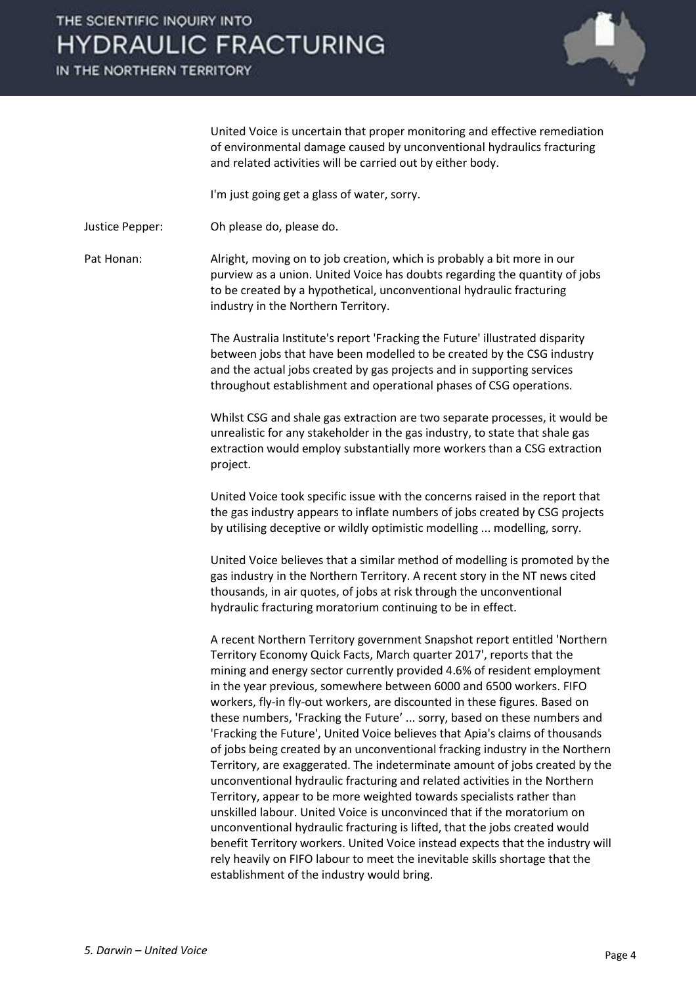IN THE NORTHERN TERRITORY



United Voice is uncertain that proper monitoring and effective remediation of environmental damage caused by unconventional hydraulics fracturing and related activities will be carried out by either body.

I'm just going get a glass of water, sorry.

Justice Pepper: Oh please do, please do.

Pat Honan: Alright, moving on to job creation, which is probably a bit more in our purview as a union. United Voice has doubts regarding the quantity of jobs to be created by a hypothetical, unconventional hydraulic fracturing industry in the Northern Territory.

> The Australia Institute's report 'Fracking the Future' illustrated disparity between jobs that have been modelled to be created by the CSG industry and the actual jobs created by gas projects and in supporting services throughout establishment and operational phases of CSG operations.

 Whilst CSG and shale gas extraction are two separate processes, it would be unrealistic for any stakeholder in the gas industry, to state that shale gas extraction would employ substantially more workers than a CSG extraction project.

 United Voice took specific issue with the concerns raised in the report that the gas industry appears to inflate numbers of jobs created by CSG projects by utilising deceptive or wildly optimistic modelling ... modelling, sorry.

 United Voice believes that a similar method of modelling is promoted by the gas industry in the Northern Territory. A recent story in the NT news cited thousands, in air quotes, of jobs at risk through the unconventional hydraulic fracturing moratorium continuing to be in effect.

 A recent Northern Territory government Snapshot report entitled 'Northern Territory Economy Quick Facts, March quarter 2017', reports that the mining and energy sector currently provided 4.6% of resident employment in the year previous, somewhere between 6000 and 6500 workers. FIFO workers, fly-in fly-out workers, are discounted in these figures. Based on these numbers, 'Fracking the Future' ... sorry, based on these numbers and 'Fracking the Future', United Voice believes that Apia's claims of thousands of jobs being created by an unconventional fracking industry in the Northern Territory, are exaggerated. The indeterminate amount of jobs created by the unconventional hydraulic fracturing and related activities in the Northern Territory, appear to be more weighted towards specialists rather than unskilled labour. United Voice is unconvinced that if the moratorium on unconventional hydraulic fracturing is lifted, that the jobs created would benefit Territory workers. United Voice instead expects that the industry will rely heavily on FIFO labour to meet the inevitable skills shortage that the establishment of the industry would bring.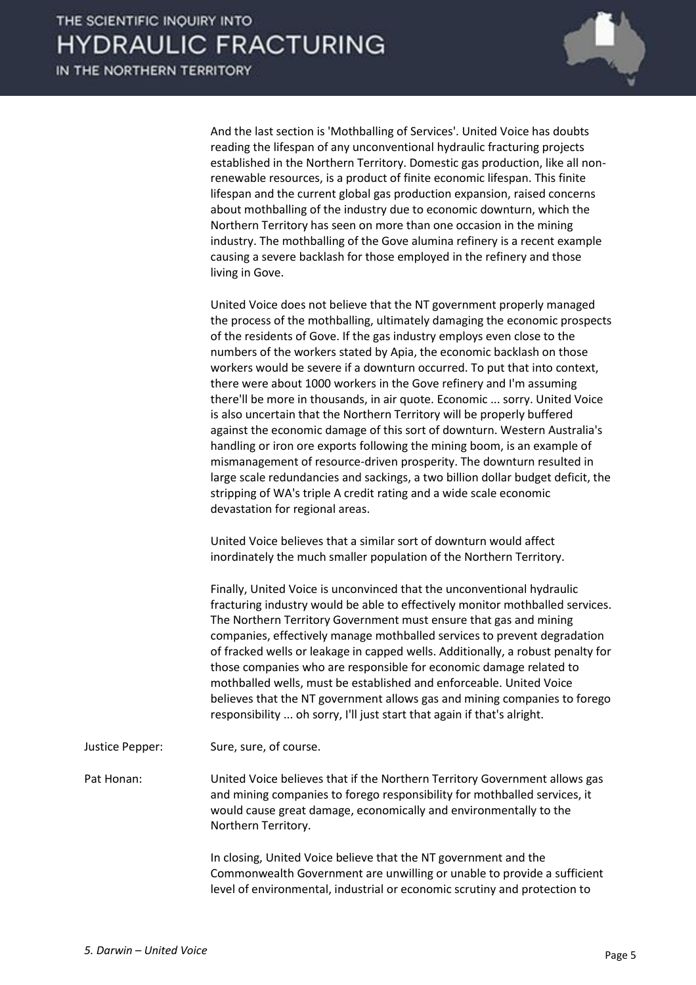

 And the last section is 'Mothballing of Services'. United Voice has doubts reading the lifespan of any unconventional hydraulic fracturing projects established in the Northern Territory. Domestic gas production, like all nonrenewable resources, is a product of finite economic lifespan. This finite lifespan and the current global gas production expansion, raised concerns about mothballing of the industry due to economic downturn, which the Northern Territory has seen on more than one occasion in the mining industry. The mothballing of the Gove alumina refinery is a recent example causing a severe backlash for those employed in the refinery and those living in Gove.

 United Voice does not believe that the NT government properly managed the process of the mothballing, ultimately damaging the economic prospects of the residents of Gove. If the gas industry employs even close to the numbers of the workers stated by Apia, the economic backlash on those workers would be severe if a downturn occurred. To put that into context, there were about 1000 workers in the Gove refinery and I'm assuming there'll be more in thousands, in air quote. Economic ... sorry. United Voice is also uncertain that the Northern Territory will be properly buffered against the economic damage of this sort of downturn. Western Australia's handling or iron ore exports following the mining boom, is an example of mismanagement of resource-driven prosperity. The downturn resulted in large scale redundancies and sackings, a two billion dollar budget deficit, the stripping of WA's triple A credit rating and a wide scale economic devastation for regional areas.

 United Voice believes that a similar sort of downturn would affect inordinately the much smaller population of the Northern Territory.

 Finally, United Voice is unconvinced that the unconventional hydraulic fracturing industry would be able to effectively monitor mothballed services. The Northern Territory Government must ensure that gas and mining companies, effectively manage mothballed services to prevent degradation of fracked wells or leakage in capped wells. Additionally, a robust penalty for those companies who are responsible for economic damage related to mothballed wells, must be established and enforceable. United Voice believes that the NT government allows gas and mining companies to forego responsibility ... oh sorry, I'll just start that again if that's alright.

Justice Pepper: Sure, sure, of course.

Pat Honan: United Voice believes that if the Northern Territory Government allows gas and mining companies to forego responsibility for mothballed services, it would cause great damage, economically and environmentally to the Northern Territory.

> In closing, United Voice believe that the NT government and the Commonwealth Government are unwilling or unable to provide a sufficient level of environmental, industrial or economic scrutiny and protection to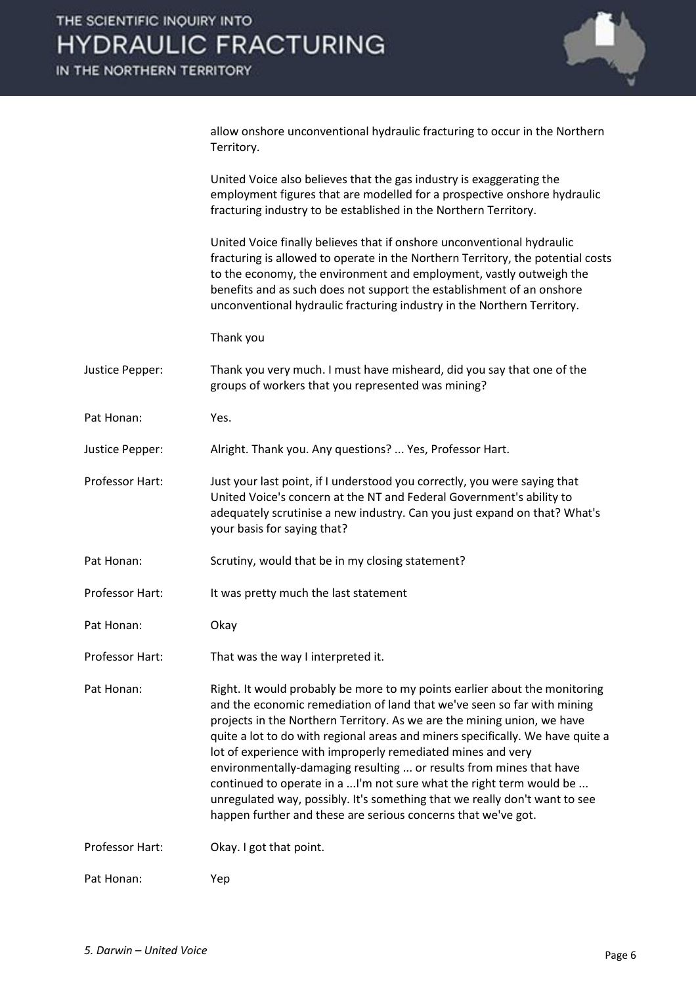IN THE NORTHERN TERRITORY



allow onshore unconventional hydraulic fracturing to occur in the Northern Territory.

 United Voice also believes that the gas industry is exaggerating the employment figures that are modelled for a prospective onshore hydraulic fracturing industry to be established in the Northern Territory.

 United Voice finally believes that if onshore unconventional hydraulic fracturing is allowed to operate in the Northern Territory, the potential costs to the economy, the environment and employment, vastly outweigh the benefits and as such does not support the establishment of an onshore unconventional hydraulic fracturing industry in the Northern Territory.

Thank you

- Justice Pepper: Thank you very much. I must have misheard, did you say that one of the groups of workers that you represented was mining?
- Pat Honan: Yes.
- Justice Pepper: Alright. Thank you. Any questions? ... Yes, Professor Hart.
- Professor Hart: Just your last point, if I understood you correctly, you were saying that United Voice's concern at the NT and Federal Government's ability to adequately scrutinise a new industry. Can you just expand on that? What's your basis for saying that?
- Pat Honan: Scrutiny, would that be in my closing statement?
- Professor Hart: It was pretty much the last statement
- Pat Honan: Okay
- Professor Hart: That was the way I interpreted it.

Pat Honan: Right. It would probably be more to my points earlier about the monitoring and the economic remediation of land that we've seen so far with mining projects in the Northern Territory. As we are the mining union, we have quite a lot to do with regional areas and miners specifically. We have quite a lot of experience with improperly remediated mines and very environmentally-damaging resulting ... or results from mines that have continued to operate in a ...I'm not sure what the right term would be ... unregulated way, possibly. It's something that we really don't want to see happen further and these are serious concerns that we've got.

Professor Hart: Okay. I got that point.

Pat Honan: Yep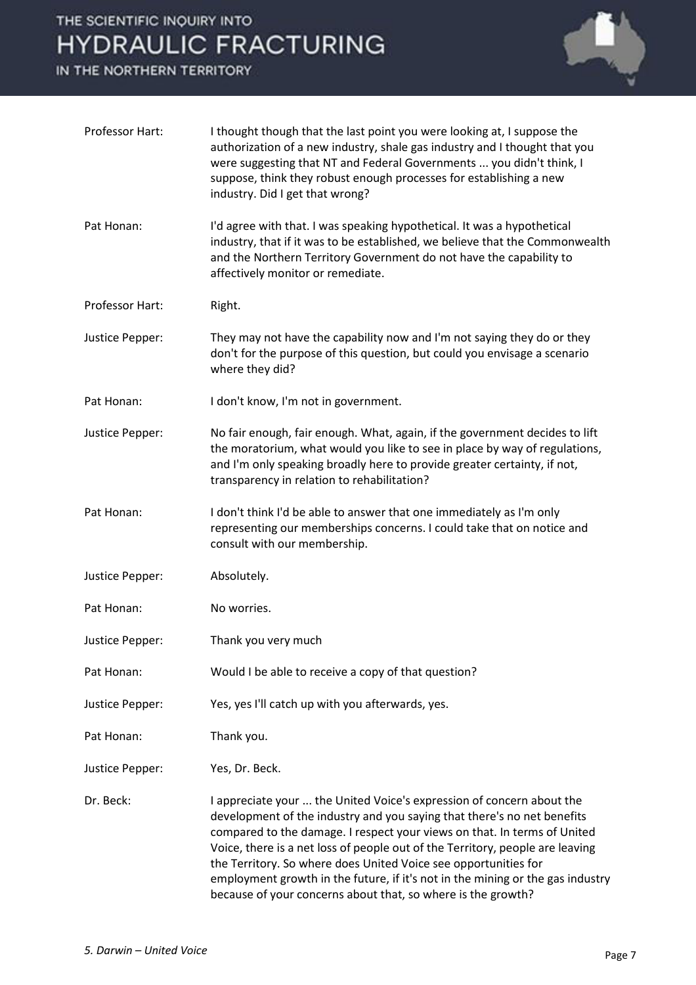IN THE NORTHERN TERRITORY



| Professor Hart: | I thought though that the last point you were looking at, I suppose the<br>authorization of a new industry, shale gas industry and I thought that you<br>were suggesting that NT and Federal Governments  you didn't think, I<br>suppose, think they robust enough processes for establishing a new<br>industry. Did I get that wrong?                                                                                                                                                                                             |
|-----------------|------------------------------------------------------------------------------------------------------------------------------------------------------------------------------------------------------------------------------------------------------------------------------------------------------------------------------------------------------------------------------------------------------------------------------------------------------------------------------------------------------------------------------------|
| Pat Honan:      | I'd agree with that. I was speaking hypothetical. It was a hypothetical<br>industry, that if it was to be established, we believe that the Commonwealth<br>and the Northern Territory Government do not have the capability to<br>affectively monitor or remediate.                                                                                                                                                                                                                                                                |
| Professor Hart: | Right.                                                                                                                                                                                                                                                                                                                                                                                                                                                                                                                             |
| Justice Pepper: | They may not have the capability now and I'm not saying they do or they<br>don't for the purpose of this question, but could you envisage a scenario<br>where they did?                                                                                                                                                                                                                                                                                                                                                            |
| Pat Honan:      | I don't know, I'm not in government.                                                                                                                                                                                                                                                                                                                                                                                                                                                                                               |
| Justice Pepper: | No fair enough, fair enough. What, again, if the government decides to lift<br>the moratorium, what would you like to see in place by way of regulations,<br>and I'm only speaking broadly here to provide greater certainty, if not,<br>transparency in relation to rehabilitation?                                                                                                                                                                                                                                               |
| Pat Honan:      | I don't think I'd be able to answer that one immediately as I'm only<br>representing our memberships concerns. I could take that on notice and<br>consult with our membership.                                                                                                                                                                                                                                                                                                                                                     |
| Justice Pepper: | Absolutely.                                                                                                                                                                                                                                                                                                                                                                                                                                                                                                                        |
| Pat Honan:      | No worries.                                                                                                                                                                                                                                                                                                                                                                                                                                                                                                                        |
| Justice Pepper: | Thank you very much                                                                                                                                                                                                                                                                                                                                                                                                                                                                                                                |
| Pat Honan:      | Would I be able to receive a copy of that question?                                                                                                                                                                                                                                                                                                                                                                                                                                                                                |
| Justice Pepper: | Yes, yes I'll catch up with you afterwards, yes.                                                                                                                                                                                                                                                                                                                                                                                                                                                                                   |
| Pat Honan:      | Thank you.                                                                                                                                                                                                                                                                                                                                                                                                                                                                                                                         |
| Justice Pepper: | Yes, Dr. Beck.                                                                                                                                                                                                                                                                                                                                                                                                                                                                                                                     |
| Dr. Beck:       | I appreciate your  the United Voice's expression of concern about the<br>development of the industry and you saying that there's no net benefits<br>compared to the damage. I respect your views on that. In terms of United<br>Voice, there is a net loss of people out of the Territory, people are leaving<br>the Territory. So where does United Voice see opportunities for<br>employment growth in the future, if it's not in the mining or the gas industry<br>because of your concerns about that, so where is the growth? |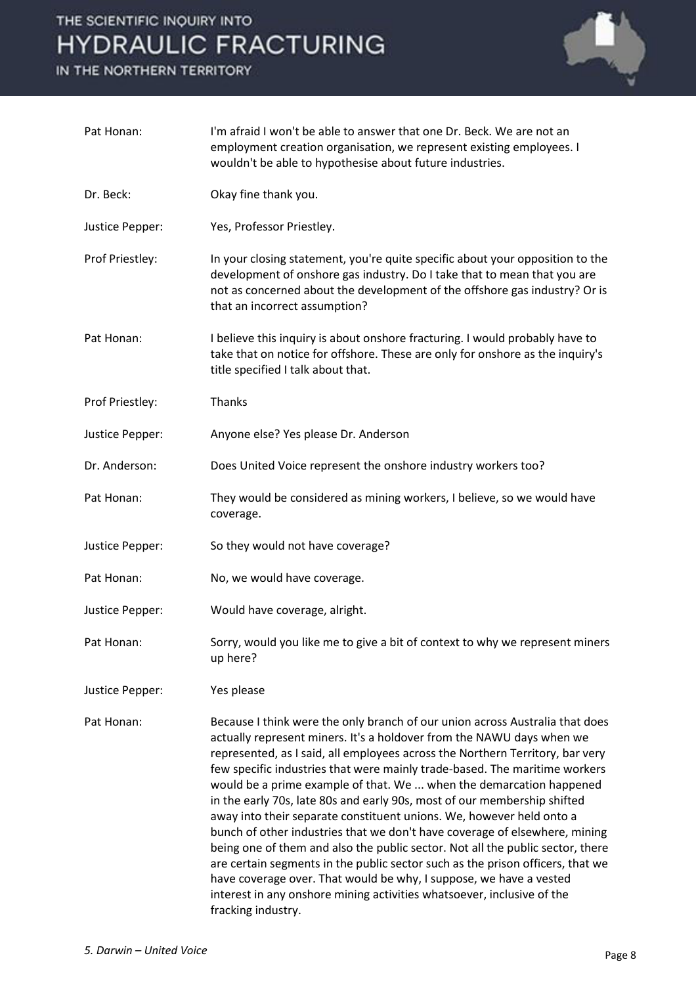IN THE NORTHERN TERRITORY



| Pat Honan:      | I'm afraid I won't be able to answer that one Dr. Beck. We are not an<br>employment creation organisation, we represent existing employees. I<br>wouldn't be able to hypothesise about future industries.                                                                                                                                                                                                                                                                                                                                                                                                                                                                                                                                                                                                                                                                                                                                                               |
|-----------------|-------------------------------------------------------------------------------------------------------------------------------------------------------------------------------------------------------------------------------------------------------------------------------------------------------------------------------------------------------------------------------------------------------------------------------------------------------------------------------------------------------------------------------------------------------------------------------------------------------------------------------------------------------------------------------------------------------------------------------------------------------------------------------------------------------------------------------------------------------------------------------------------------------------------------------------------------------------------------|
| Dr. Beck:       | Okay fine thank you.                                                                                                                                                                                                                                                                                                                                                                                                                                                                                                                                                                                                                                                                                                                                                                                                                                                                                                                                                    |
| Justice Pepper: | Yes, Professor Priestley.                                                                                                                                                                                                                                                                                                                                                                                                                                                                                                                                                                                                                                                                                                                                                                                                                                                                                                                                               |
| Prof Priestley: | In your closing statement, you're quite specific about your opposition to the<br>development of onshore gas industry. Do I take that to mean that you are<br>not as concerned about the development of the offshore gas industry? Or is<br>that an incorrect assumption?                                                                                                                                                                                                                                                                                                                                                                                                                                                                                                                                                                                                                                                                                                |
| Pat Honan:      | I believe this inquiry is about onshore fracturing. I would probably have to<br>take that on notice for offshore. These are only for onshore as the inquiry's<br>title specified I talk about that.                                                                                                                                                                                                                                                                                                                                                                                                                                                                                                                                                                                                                                                                                                                                                                     |
| Prof Priestley: | Thanks                                                                                                                                                                                                                                                                                                                                                                                                                                                                                                                                                                                                                                                                                                                                                                                                                                                                                                                                                                  |
| Justice Pepper: | Anyone else? Yes please Dr. Anderson                                                                                                                                                                                                                                                                                                                                                                                                                                                                                                                                                                                                                                                                                                                                                                                                                                                                                                                                    |
| Dr. Anderson:   | Does United Voice represent the onshore industry workers too?                                                                                                                                                                                                                                                                                                                                                                                                                                                                                                                                                                                                                                                                                                                                                                                                                                                                                                           |
| Pat Honan:      | They would be considered as mining workers, I believe, so we would have<br>coverage.                                                                                                                                                                                                                                                                                                                                                                                                                                                                                                                                                                                                                                                                                                                                                                                                                                                                                    |
| Justice Pepper: | So they would not have coverage?                                                                                                                                                                                                                                                                                                                                                                                                                                                                                                                                                                                                                                                                                                                                                                                                                                                                                                                                        |
| Pat Honan:      | No, we would have coverage.                                                                                                                                                                                                                                                                                                                                                                                                                                                                                                                                                                                                                                                                                                                                                                                                                                                                                                                                             |
| Justice Pepper: | Would have coverage, alright.                                                                                                                                                                                                                                                                                                                                                                                                                                                                                                                                                                                                                                                                                                                                                                                                                                                                                                                                           |
| Pat Honan:      | Sorry, would you like me to give a bit of context to why we represent miners<br>up here?                                                                                                                                                                                                                                                                                                                                                                                                                                                                                                                                                                                                                                                                                                                                                                                                                                                                                |
| Justice Pepper: | Yes please                                                                                                                                                                                                                                                                                                                                                                                                                                                                                                                                                                                                                                                                                                                                                                                                                                                                                                                                                              |
| Pat Honan:      | Because I think were the only branch of our union across Australia that does<br>actually represent miners. It's a holdover from the NAWU days when we<br>represented, as I said, all employees across the Northern Territory, bar very<br>few specific industries that were mainly trade-based. The maritime workers<br>would be a prime example of that. We  when the demarcation happened<br>in the early 70s, late 80s and early 90s, most of our membership shifted<br>away into their separate constituent unions. We, however held onto a<br>bunch of other industries that we don't have coverage of elsewhere, mining<br>being one of them and also the public sector. Not all the public sector, there<br>are certain segments in the public sector such as the prison officers, that we<br>have coverage over. That would be why, I suppose, we have a vested<br>interest in any onshore mining activities whatsoever, inclusive of the<br>fracking industry. |